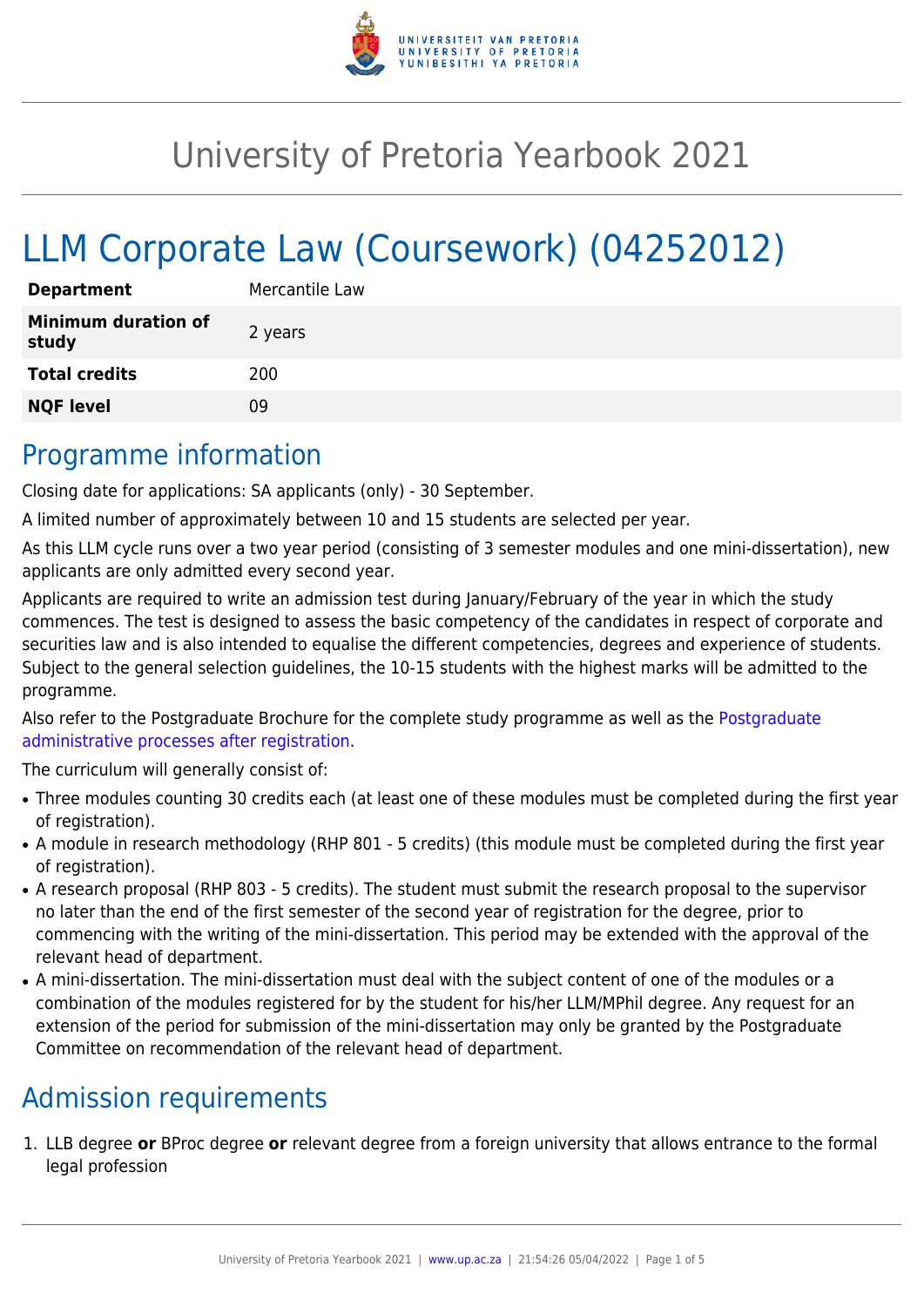

# University of Pretoria Yearbook 2021

# LLM Corporate Law (Coursework) (04252012)

| <b>Department</b>                   | Mercantile Law |
|-------------------------------------|----------------|
| <b>Minimum duration of</b><br>study | 2 years        |
| <b>Total credits</b>                | 200            |
| <b>NQF level</b>                    | Ωg             |

## Programme information

Closing date for applications: SA applicants (only) - 30 September.

A limited number of approximately between 10 and 15 students are selected per year.

As this LLM cycle runs over a two year period (consisting of 3 semester modules and one mini-dissertation), new applicants are only admitted every second year.

Applicants are required to write an admission test during January/February of the year in which the study commences. The test is designed to assess the basic competency of the candidates in respect of corporate and securities law and is also intended to equalise the different competencies, degrees and experience of students. Subject to the general selection guidelines, the 10-15 students with the highest marks will be admitted to the programme.

Also refer to the Postgraduate Brochure for the complete study programme as well as the [Postgraduate](http://www.up.ac.za/media/shared/10/ZP_Files/post-graduate-administrative-processes-brochures-for-the-faculty-web.zp124870.pdf) [administrative processes after registration.](http://www.up.ac.za/media/shared/10/ZP_Files/post-graduate-administrative-processes-brochures-for-the-faculty-web.zp124870.pdf)

The curriculum will generally consist of:

- Three modules counting 30 credits each (at least one of these modules must be completed during the first year of registration).
- A module in research methodology (RHP 801 5 credits) (this module must be completed during the first year of registration).
- A research proposal (RHP 803 5 credits). The student must submit the research proposal to the supervisor no later than the end of the first semester of the second year of registration for the degree, prior to commencing with the writing of the mini-dissertation. This period may be extended with the approval of the relevant head of department.
- A mini-dissertation. The mini-dissertation must deal with the subject content of one of the modules or a combination of the modules registered for by the student for his/her LLM/MPhil degree. Any request for an extension of the period for submission of the mini-dissertation may only be granted by the Postgraduate Committee on recommendation of the relevant head of department.

# Admission requirements

1. LLB degree **or** BProc degree **or** relevant degree from a foreign university that allows entrance to the formal legal profession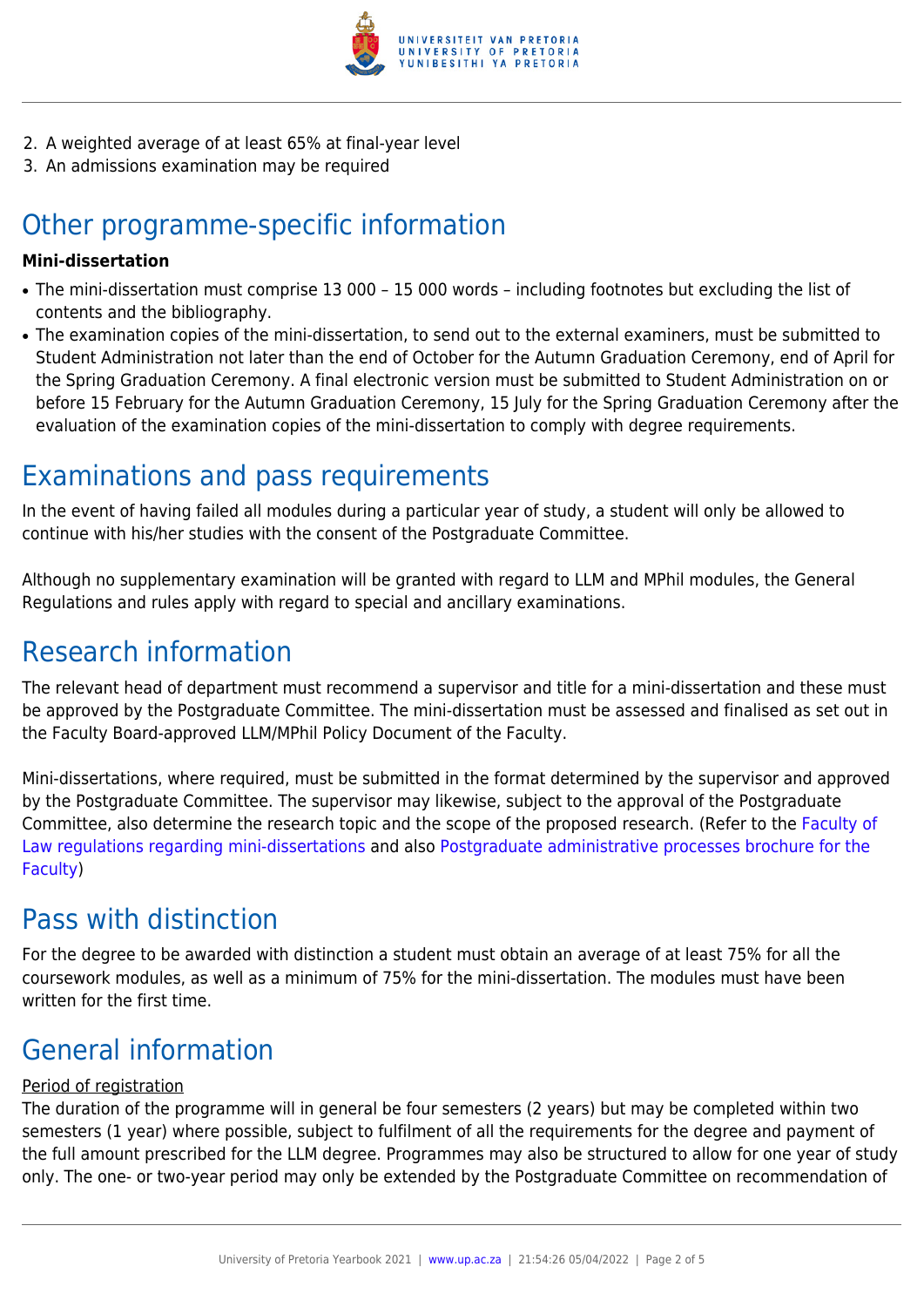

- 2. A weighted average of at least 65% at final-year level
- 3. An admissions examination may be required

# Other programme-specific information

#### **Mini-dissertation**

- The mini-dissertation must comprise 13 000 15 000 words including footnotes but excluding the list of contents and the bibliography.
- The examination copies of the mini-dissertation, to send out to the external examiners, must be submitted to Student Administration not later than the end of October for the Autumn Graduation Ceremony, end of April for the Spring Graduation Ceremony. A final electronic version must be submitted to Student Administration on or before 15 February for the Autumn Graduation Ceremony, 15 July for the Spring Graduation Ceremony after the evaluation of the examination copies of the mini-dissertation to comply with degree requirements.

### Examinations and pass requirements

In the event of having failed all modules during a particular year of study, a student will only be allowed to continue with his/her studies with the consent of the Postgraduate Committee.

Although no supplementary examination will be granted with regard to LLM and MPhil modules, the General Regulations and rules apply with regard to special and ancillary examinations.

### Research information

The relevant head of department must recommend a supervisor and title for a mini-dissertation and these must be approved by the Postgraduate Committee. The mini-dissertation must be assessed and finalised as set out in the Faculty Board-approved LLM/MPhil Policy Document of the Faculty.

Mini-dissertations, where required, must be submitted in the format determined by the supervisor and approved by the Postgraduate Committee. The supervisor may likewise, subject to the approval of the Postgraduate Committee, also determine the research topic and the scope of the proposed research. (Refer to the [Faculty of](http://www.up.ac.za/media/shared/10/ZP_Files/faculty-regulations-for-the-mini-dissertation.zp124872.pdf) [Law regulations regarding mini-dissertations](http://www.up.ac.za/media/shared/10/ZP_Files/faculty-regulations-for-the-mini-dissertation.zp124872.pdf) and also [Postgraduate administrative processes brochure for the](http://www.up.ac.za/media/shared/10/ZP_Files/post-graduate-administrative-processes-brochures-for-the-faculty-web.zp124870.pdf) [Faculty](http://www.up.ac.za/media/shared/10/ZP_Files/post-graduate-administrative-processes-brochures-for-the-faculty-web.zp124870.pdf))

## Pass with distinction

For the degree to be awarded with distinction a student must obtain an average of at least 75% for all the coursework modules, as well as a minimum of 75% for the mini-dissertation. The modules must have been written for the first time.

## General information

#### Period of registration

The duration of the programme will in general be four semesters (2 years) but may be completed within two semesters (1 year) where possible, subject to fulfilment of all the requirements for the degree and payment of the full amount prescribed for the LLM degree. Programmes may also be structured to allow for one year of study only. The one- or two-year period may only be extended by the Postgraduate Committee on recommendation of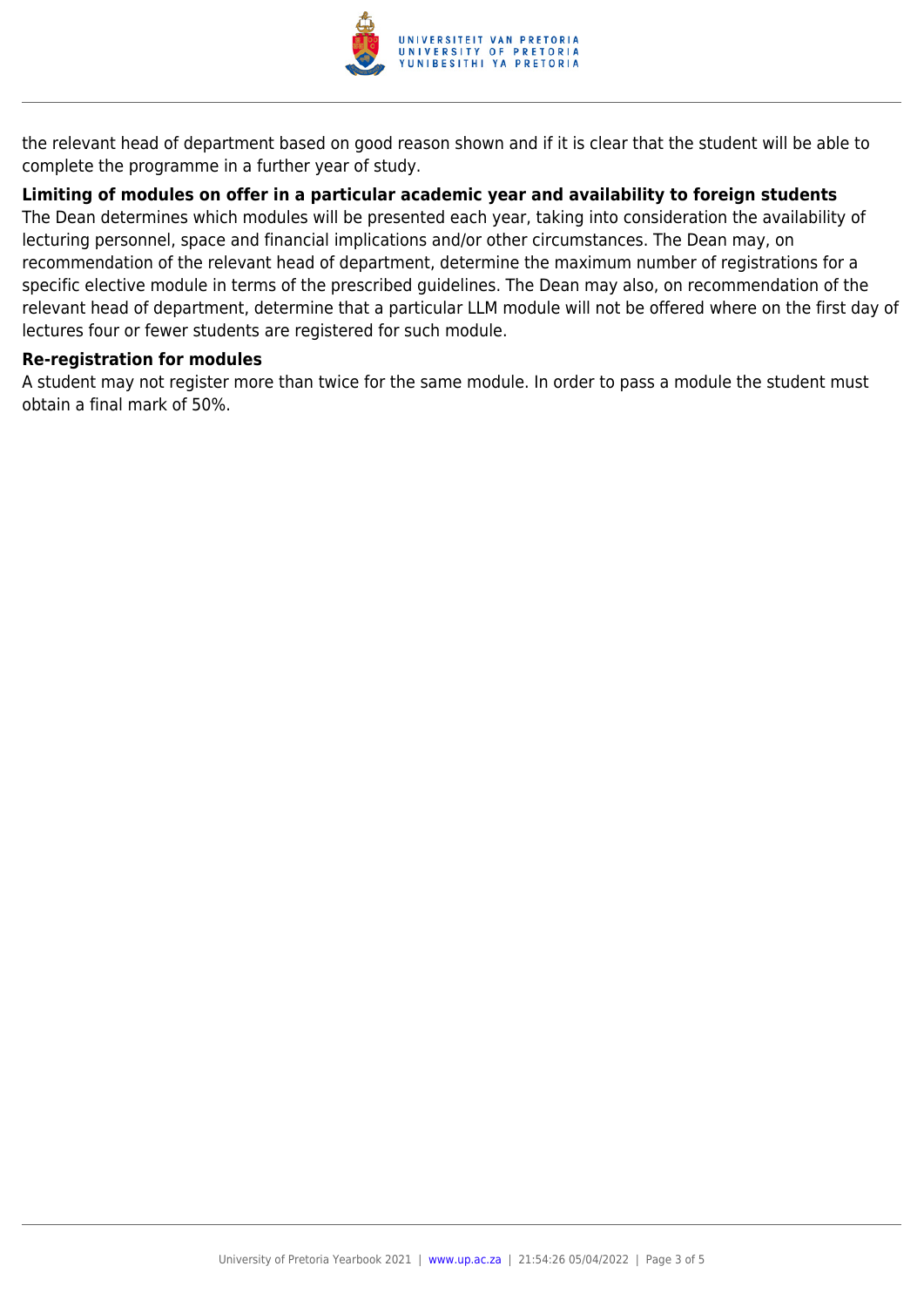

the relevant head of department based on good reason shown and if it is clear that the student will be able to complete the programme in a further year of study.

#### **Limiting of modules on offer in a particular academic year and availability to foreign students**

The Dean determines which modules will be presented each year, taking into consideration the availability of lecturing personnel, space and financial implications and/or other circumstances. The Dean may, on recommendation of the relevant head of department, determine the maximum number of registrations for a specific elective module in terms of the prescribed guidelines. The Dean may also, on recommendation of the relevant head of department, determine that a particular LLM module will not be offered where on the first day of lectures four or fewer students are registered for such module.

#### **Re-registration for modules**

A student may not register more than twice for the same module. In order to pass a module the student must obtain a final mark of 50%.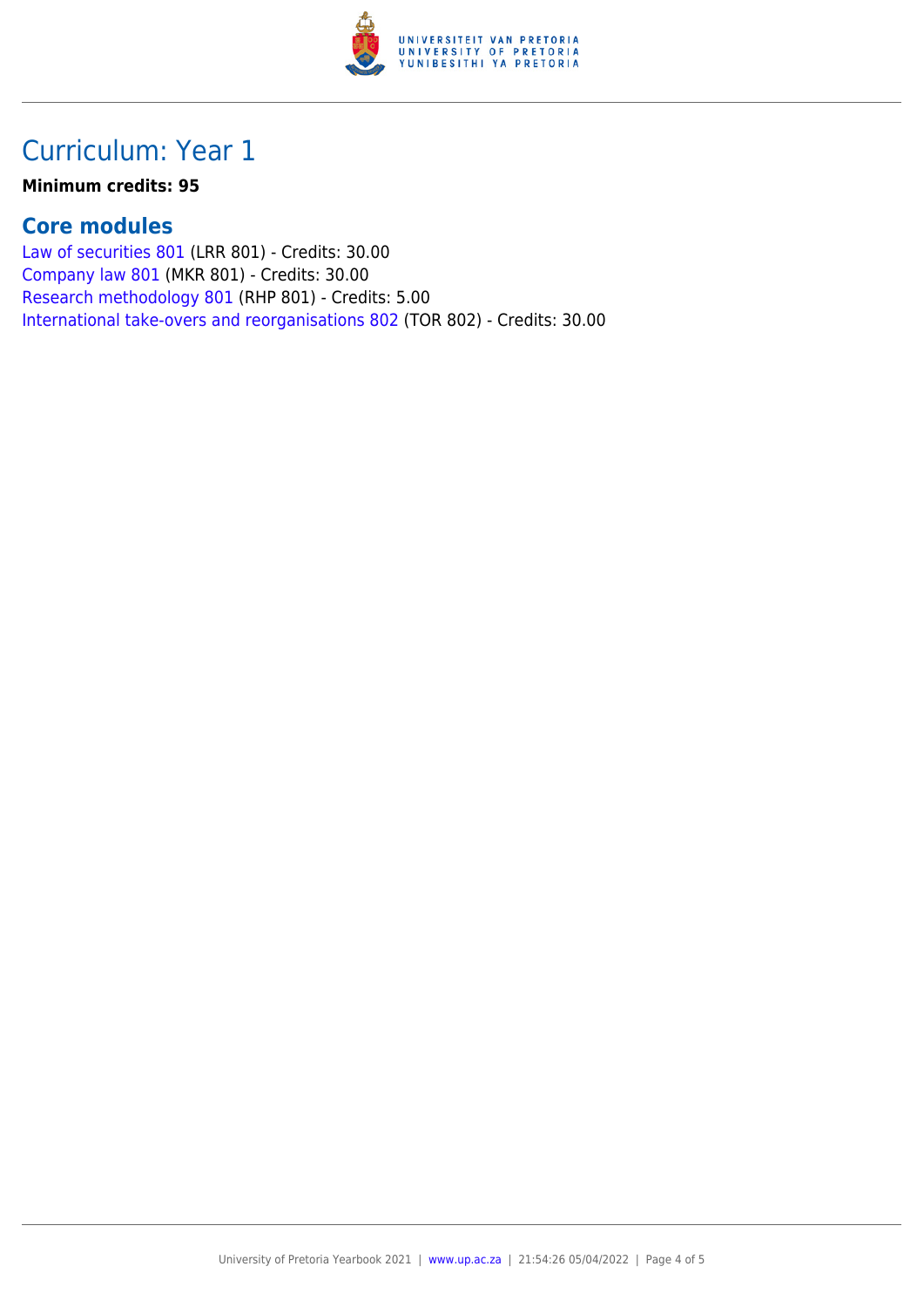

# Curriculum: Year 1

#### **Minimum credits: 95**

#### **Core modules**

[Law of securities 801](https://www.up.ac.za/yearbooks/2021/modules/view/LRR 801) (LRR 801) - Credits: 30.00 [Company law 801](https://www.up.ac.za/yearbooks/2021/modules/view/MKR 801) (MKR 801) - Credits: 30.00 [Research methodology 801](https://www.up.ac.za/yearbooks/2021/modules/view/RHP 801) (RHP 801) - Credits: 5.00 [International take-overs and reorganisations 802](https://www.up.ac.za/yearbooks/2021/modules/view/TOR 802) (TOR 802) - Credits: 30.00